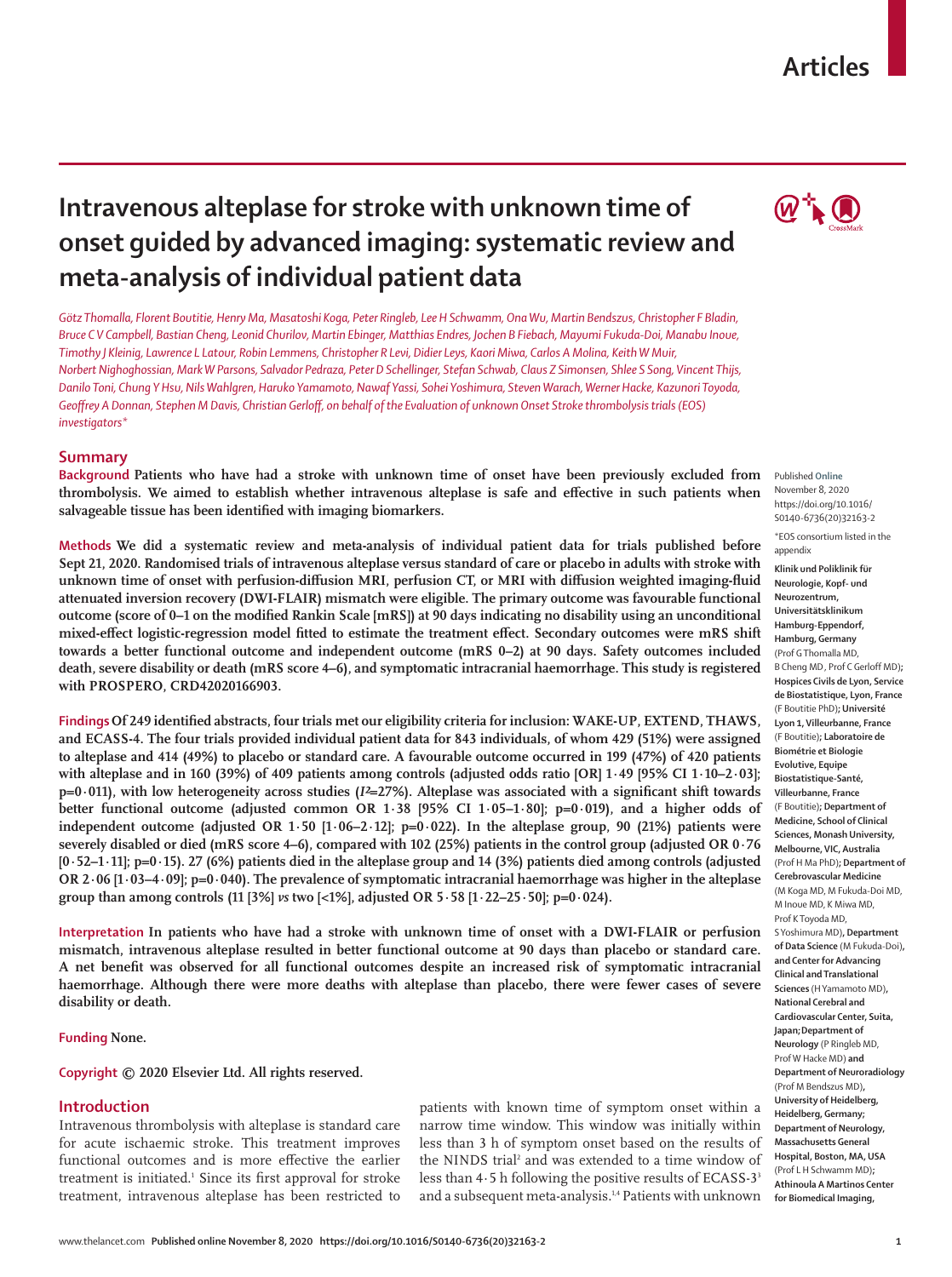## **Articles**

# **Intravenous alteplase for stroke with unknown time of onset guided by advanced imaging: systematic review and meta-analysis of individual patient data**

*Götz Thomalla, Florent Boutitie, Henry Ma, Masatoshi Koga, Peter Ringleb, Lee H Schwamm, Ona Wu, Martin Bendszus, Christopher F Bladin, Bruce C V Campbell, Bastian Cheng, Leonid Churilov, Martin Ebinger, Matthias Endres, Jochen B Fiebach, Mayumi Fukuda-Doi, Manabu Inoue, Timothy J Kleinig, Lawrence L Latour, Robin Lemmens, Christopher R Levi, Didier Leys, Kaori Miwa, Carlos A Molina, Keith W Muir, Norbert Nighoghossian, Mark W Parsons, Salvador Pedraza, Peter D Schellinger, Stefan Schwab, Claus Z Simonsen, Shlee S Song, Vincent Thijs, Danilo Toni, Chung Y Hsu, Nils Wahlgren, Haruko Yamamoto, Nawaf Yassi, Sohei Yoshimura, Steven Warach, Werner Hacke, Kazunori Toyoda, Geoffrey A Donnan, Stephen M Davis, Christian Gerloff, on behalf of the Evaluation of unknown Onset Stroke thrombolysis trials (EOS) investigators\** 

#### **Summary**

**Background Patients who have had a stroke with unknown time of onset have been previously excluded from thrombolysis. We aimed to establish whether intravenous alteplase is safe and effective in such patients when salvageable tissue has been identified with imaging biomarkers.**

**Methods We did a systematic review and meta-analysis of individual patient data for trials published before Sept 21, 2020. Randomised trials of intravenous alteplase versus standard of care or placebo in adults with stroke with unknown time of onset with perfusion-diffusion MRI, perfusion CT, or MRI with diffusion weighted imaging-fluid attenuated inversion recovery (DWI-FLAIR) mismatch were eligible. The primary outcome was favourable functional outcome (score of 0–1 on the modified Rankin Scale [mRS]) at 90 days indicating no disability using an unconditional mixed-effect logistic-regression model fitted to estimate the treatment effect. Secondary outcomes were mRS shift towards a better functional outcome and independent outcome (mRS 0–2) at 90 days. Safety outcomes included death, severe disability or death (mRS score 4–6), and symptomatic intracranial haemorrhage. This study is registered with PROSPERO, CRD42020166903.**

**FindingsOf 249 identified abstracts, four trials met our eligibility criteria for inclusion: WAKE-UP, EXTEND, THAWS, and ECASS-4. The four trials provided individual patient data for 843 individuals, of whom 429 (51%) were assigned to alteplase and 414 (49%) to placebo or standard care. A favourable outcome occurred in 199 (47%) of 420 patients with alteplase and in 160 (39%) of 409 patients among controls (adjusted odds ratio [OR] 1·49 [95% CI 1·10–2·03]; p=0·011), with low heterogeneity across studies (***I²***=27%). Alteplase was associated with a significant shift towards better functional outcome (adjusted common OR 1·38 [95% CI 1·05–1·80]; p=0·019), and a higher odds of independent outcome (adjusted OR 1·50 [1·06–2·12]; p=0·022). In the alteplase group, 90 (21%) patients were severely disabled or died (mRS score 4–6), compared with 102 (25%) patients in the control group (adjusted OR 0·76 [0·52–1·11]; p=0·15). 27 (6%) patients died in the alteplase group and 14 (3%) patients died among controls (adjusted OR 2·06 [1·03–4·09]; p=0·040). The prevalence of symptomatic intracranial haemorrhage was higher in the alteplase group than among controls (11 [3%]** *vs* **two [<1%], adjusted OR 5·58 [1·22–25·50]; p=0·024).**

**Interpretation In patients who have had a stroke with unknown time of onset with a DWI-FLAIR or perfusion mismatch, intravenous alteplase resulted in better functional outcome at 90 days than placebo or standard care. A net benefit was observed for all functional outcomes despite an increased risk of symptomatic intracranial haemorrhage. Although there were more deaths with alteplase than placebo, there were fewer cases of severe disability or death.**

### **Funding None.**

**Copyright © 2020 Elsevier Ltd. All rights reserved.**

#### **Introduction**

Intravenous thrombolysis with alteplase is standard care for acute ischaemic stroke. This treatment improves functional outcomes and is more effective the earlier treatment is initiated.<sup>1</sup> Since its first approval for stroke treatment, intravenous alteplase has been restricted to patients with known time of symptom onset within a narrow time window. This window was initially within less than 3 h of symptom onset based on the results of the NINDS trial<sup>2</sup> and was extended to a time window of less than 4·5 h following the positive results of ECASS-33 and a subsequent meta-analysis.<sup>1,4</sup> Patients with unknown



Published **Online** November 8, 2020 https://doi.org/10.1016/ S0140-6736(20)32163-2

\*EOS consortium listed in the appendix

**Klinik und Poliklinik für Neurologie, Kopf- und Neurozentrum, Universitätsklinikum Hamburg-Eppendorf, Hamburg, Germany**  (Prof G Thomalla MD, B Cheng MD, Prof C Gerloff MD)**; Hospices Civils de Lyon, Service de Biostatistique, Lyon, France**  (F Boutitie PhD)**; Université Lyon 1, Villeurbanne, France**  (F Boutitie)**; Laboratoire de Biométrie et Biologie Evolutive, Equipe Biostatistique-Santé, Villeurbanne, France**  (F Boutitie)**; Department of Medicine, School of Clinical Sciences, Monash University, Melbourne, VIC, Australia** (Prof H Ma PhD)**; Department of Cerebrovascular Medicine**  (M Koga MD, M Fukuda-Doi MD, M Inoue MD, K Miwa MD, Prof K Toyoda MD, S Yoshimura MD)**, Department of Data Science** (M Fukuda-Doi)**, and Center for Advancing Clinical and Translational Sciences** (H Yamamoto MD)**, National Cerebral and Cardiovascular Center, Suita, Japan;Department of Neurology** (P Ringleb MD, Prof W Hacke MD) **and Department of Neuroradiology**  (Prof M Bendszus MD)**, University of Heidelberg, Heidelberg, Germany; Department of Neurology, Massachusetts General Hospital, Boston, MA, USA**  (Prof L H Schwamm MD)**; Athinoula A Martinos Center for Biomedical Imaging,**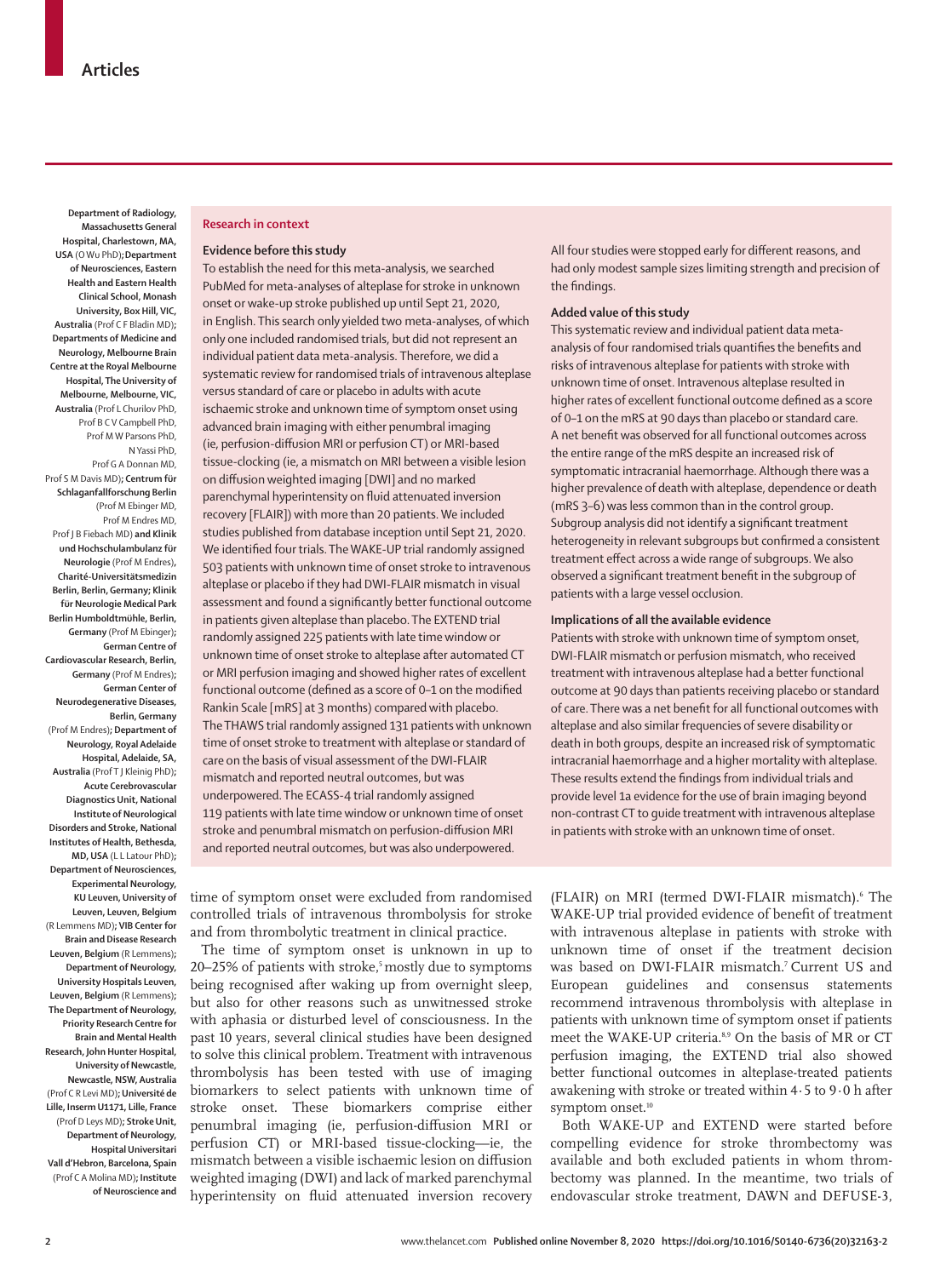**Department of Radiology, Massachusetts General Hospital, Charlestown, MA, USA** (O Wu PhD)**;Department of Neurosciences, Eastern Health and Eastern Health Clinical School, Monash University, Box Hill, VIC, Australia** (Prof C F Bladin MD)**; Departments of Medicine and Neurology, Melbourne Brain Centre at the Royal Melbourne Hospital, The University of Melbourne, Melbourne, VIC, Australia** (Prof L Churilov PhD, Prof B C V Campbell PhD, Prof M W Parsons PhD, N Yassi PhD, Prof G A Donnan MD, Prof S M Davis MD)**; Centrum für Schlaganfallforschung Berlin** (Prof M Ebinger MD, Prof M Endres MD, Prof J B Fiebach MD) **and Klinik und Hochschulambulanz für Neurologie** (Prof M Endres)**, Charité-Universitätsmedizin Berlin, Berlin, Germany; Klinik für Neurologie Medical Park Berlin Humboldtmühle, Berlin, Germany** (Prof M Ebinger)**; German Centre of Cardiovascular Research, Berlin, Germany** (Prof M Endres)**; German Center of Neurodegenerative Diseases, Berlin, Germany**  (Prof M Endres)**; Department of Neurology, Royal Adelaide Hospital, Adelaide, SA, Australia** (Prof T J Kleinig PhD)**; Acute Cerebrovascular Diagnostics Unit, National Institute of Neurological Disorders and Stroke, National Institutes of Health, Bethesda, MD, USA** (L L Latour PhD)**; Department of Neurosciences, Experimental Neurology, KU Leuven, University of Leuven, Leuven, Belgium** (R Lemmens MD)**; VIB Center for Brain and Disease Research Leuven, Belgium** (R Lemmens)**; Department of Neurology, University Hospitals Leuven, Leuven, Belgium** (R Lemmens)**; The Department of Neurology, Priority Research Centre for Brain and Mental Health Research, John Hunter Hospital, University of Newcastle, Newcastle, NSW,Australia**  (Prof C R Levi MD)**; Université de Lille, Inserm U1171, Lille, France**  (Prof D Leys MD)**; Stroke Unit, Department of Neurology, Hospital Universitari Vall d'Hebron, Barcelona, Spain** (Prof C A Molina MD)**; Institute** 

## in English. This search only yielded two meta-analyses, of which

**Research in context**

**Evidence before this study**

only one included randomised trials, but did not represent an individual patient data meta-analysis. Therefore, we did a systematic review for randomised trials of intravenous alteplase versus standard of care or placebo in adults with acute ischaemic stroke and unknown time of symptom onset using advanced brain imaging with either penumbral imaging (ie, perfusion-diffusion MRI or perfusion CT) or MRI-based tissue-clocking (ie, a mismatch on MRI between a visible lesion on diffusion weighted imaging [DWI] and no marked parenchymal hyperintensity on fluid attenuated inversion recovery [FLAIR]) with more than 20 patients. We included studies published from database inception until Sept 21, 2020. We identified four trials. The WAKE-UP trial randomly assigned 503 patients with unknown time of onset stroke to intravenous alteplase or placebo if they had DWI-FLAIR mismatch in visual assessment and found a significantly better functional outcome in patients given alteplase than placebo. The EXTEND trial randomly assigned 225 patients with late time window or unknown time of onset stroke to alteplase after automated CT or MRI perfusion imaging and showed higher rates of excellent functional outcome (defined as a score of 0–1 on the modified Rankin Scale [mRS] at 3 months) compared with placebo. The THAWS trial randomly assigned 131 patients with unknown time of onset stroke to treatment with alteplase or standard of care on the basis of visual assessment of the DWI-FLAIR mismatch and reported neutral outcomes, but was underpowered. The ECASS-4 trial randomly assigned 119 patients with late time window or unknown time of onset stroke and penumbral mismatch on perfusion-diffusion MRI and reported neutral outcomes, but was also underpowered.

To establish the need for this meta-analysis, we searched PubMed for meta-analyses of alteplase for stroke in unknown onset or wake-up stroke published up until Sept 21, 2020,

All four studies were stopped early for different reasons, and had only modest sample sizes limiting strength and precision of the findings.

## **Added value of this study**

This systematic review and individual patient data metaanalysis of four randomised trials quantifies the benefits and risks of intravenous alteplase for patients with stroke with unknown time of onset. Intravenous alteplase resulted in higher rates of excellent functional outcome defined as a score of 0–1 on the mRS at 90 days than placebo or standard care. A net benefit was observed for all functional outcomes across the entire range of the mRS despite an increased risk of symptomatic intracranial haemorrhage. Although there was a higher prevalence of death with alteplase, dependence or death (mRS 3–6) was less common than in the control group. Subgroup analysis did not identify a significant treatment heterogeneity in relevant subgroups but confirmed a consistent treatment effect across a wide range of subgroups. We also observed a significant treatment benefit in the subgroup of patients with a large vessel occlusion.

#### **Implications of all the available evidence**

Patients with stroke with unknown time of symptom onset, DWI-FLAIR mismatch or perfusion mismatch, who received treatment with intravenous alteplase had a better functional outcome at 90 days than patients receiving placebo or standard of care. There was a net benefit for all functional outcomes with alteplase and also similar frequencies of severe disability or death in both groups, despite an increased risk of symptomatic intracranial haemorrhage and a higher mortality with alteplase. These results extend the findings from individual trials and provide level 1a evidence for the use of brain imaging beyond non-contrast CT to guide treatment with intravenous alteplase in patients with stroke with an unknown time of onset.

time of symptom onset were excluded from randomised controlled trials of intravenous thrombolysis for stroke and from thrombolytic treatment in clinical practice.

The time of symptom onset is unknown in up to 20–25% of patients with stroke,<sup>5</sup> mostly due to symptoms being recognised after waking up from overnight sleep, but also for other reasons such as unwitnessed stroke with aphasia or disturbed level of consciousness. In the past 10 years, several clinical studies have been designed to solve this clinical problem. Treatment with intravenous thrombolysis has been tested with use of imaging biomarkers to select patients with unknown time of stroke onset. These biomarkers comprise either penumbral imaging (ie, perfusion-diffusion MRI or perfusion CT) or MRI-based tissue-clocking—ie, the mismatch between a visible ischaemic lesion on diffusion weighted imaging (DWI) and lack of marked parenchymal hyperintensity on fluid attenuated inversion recovery

(FLAIR) on MRI (termed DWI-FLAIR mismatch).<sup>6</sup> The WAKE-UP trial provided evidence of benefit of treatment with intravenous alteplase in patients with stroke with unknown time of onset if the treatment decision was based on DWI-FLAIR mismatch.<sup>7</sup> Current US and European guidelines and consensus statements recommend intravenous thrombolysis with alteplase in patients with unknown time of symptom onset if patients meet the WAKE-UP criteria.<sup>8,9</sup> On the basis of MR or CT perfusion imaging, the EXTEND trial also showed better functional outcomes in alteplase-treated patients awakening with stroke or treated within 4·5 to 9·0 h after symptom onset.<sup>10</sup>

Both WAKE-UP and EXTEND were started before compelling evidence for stroke thrombectomy was available and both excluded patients in whom thrombectomy was planned. In the meantime, two trials of endovascular stroke treatment, DAWN and DEFUSE-3,

**of Neuroscience and**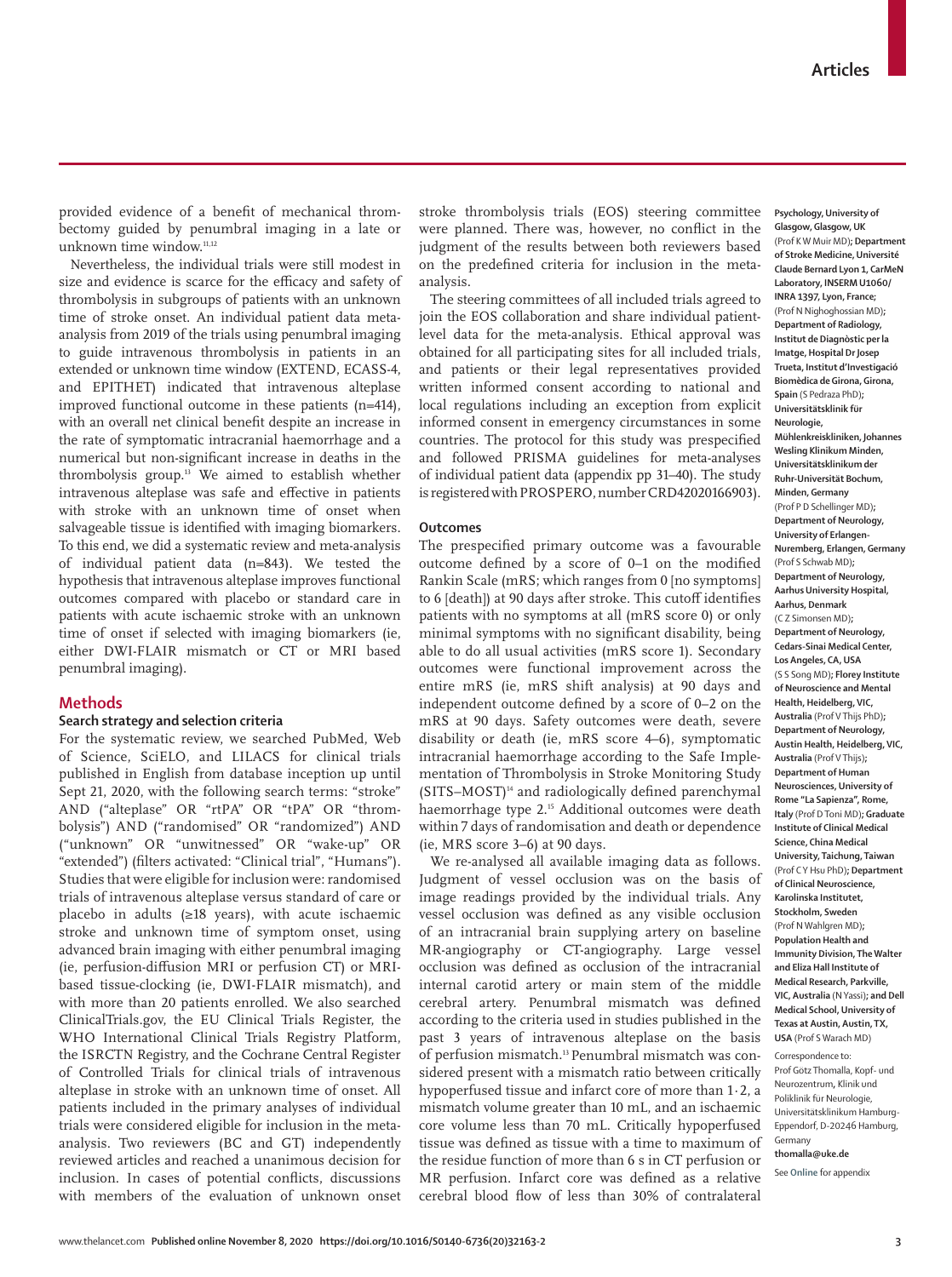provided evidence of a benefit of mechanical thrombectomy guided by penumbral imaging in a late or unknown time window.<sup>11,12</sup>

Nevertheless, the individual trials were still modest in size and evidence is scarce for the efficacy and safety of thrombolysis in subgroups of patients with an unknown time of stroke onset. An individual patient data metaanalysis from 2019 of the trials using penumbral imaging to guide intravenous thrombolysis in patients in an extended or unknown time window (EXTEND, ECASS-4, and EPITHET) indicated that intravenous alteplase improved functional outcome in these patients (n=414), with an overall net clinical benefit despite an increase in the rate of symptomatic intracranial haemorrhage and a numerical but non-significant increase in deaths in the thrombolysis group.13 We aimed to establish whether intravenous alteplase was safe and effective in patients with stroke with an unknown time of onset when salvageable tissue is identified with imaging biomarkers. To this end, we did a systematic review and meta-analysis of individual patient data (n=843). We tested the hypothesis that intravenous alteplase improves functional outcomes compared with placebo or standard care in patients with acute ischaemic stroke with an unknown time of onset if selected with imaging biomarkers (ie, either DWI-FLAIR mismatch or CT or MRI based penumbral imaging).

## **Methods**

### **Search strategy and selection criteria**

For the systematic review, we searched PubMed, Web of Science, SciELO, and LILACS for clinical trials published in English from database inception up until Sept 21, 2020, with the following search terms: "stroke" AND ("alteplase" OR "rtPA" OR "tPA" OR "thrombolysis") AND ("randomised" OR "randomized") AND ("unknown" OR "unwitnessed" OR "wake-up" OR "extended") (filters activated: "Clinical trial", "Humans"). Studies that were eligible for inclusion were: randomised trials of intravenous alteplase versus standard of care or placebo in adults  $(\geq 18$  years), with acute ischaemic stroke and unknown time of symptom onset, using advanced brain imaging with either penumbral imaging (ie, perfusion-diffusion MRI or perfusion CT) or MRIbased tissue-clocking (ie, DWI-FLAIR mismatch), and with more than 20 patients enrolled. We also searched ClinicalTrials.gov, the EU Clinical Trials Register, the WHO International Clinical Trials Registry Platform, the ISRCTN Registry, and the Cochrane Central Register of Controlled Trials for clinical trials of intravenous alteplase in stroke with an unknown time of onset. All patients included in the primary analyses of individual trials were considered eligible for inclusion in the metaanalysis. Two reviewers (BC and GT) independently reviewed articles and reached a unanimous decision for inclusion. In cases of potential conflicts, discussions with members of the evaluation of unknown onset stroke thrombolysis trials (EOS) steering committee were planned. There was, however, no conflict in the judgment of the results between both reviewers based on the predefined criteria for inclusion in the metaanalysis.

The steering committees of all included trials agreed to join the EOS collaboration and share individual patientlevel data for the meta-analysis. Ethical approval was obtained for all participating sites for all included trials, and patients or their legal representatives provided written informed consent according to national and local regulations including an exception from explicit informed consent in emergency circumstances in some countries. The protocol for this study was prespecified and followed PRISMA guidelines for meta-analyses of individual patient data (appendix pp 31–40). The study is registered with PROSPERO, number CRD42020166903).

#### **Outcomes**

The prespecified primary outcome was a favourable outcome defined by a score of 0–1 on the modified Rankin Scale (mRS; which ranges from 0 [no symptoms] to 6 [death]) at 90 days after stroke. This cutoff identifies patients with no symptoms at all (mRS score 0) or only minimal symptoms with no significant disability, being able to do all usual activities (mRS score 1). Secondary outcomes were functional improvement across the entire mRS (ie, mRS shift analysis) at 90 days and independent outcome defined by a score of 0–2 on the mRS at 90 days. Safety outcomes were death, severe disability or death (ie, mRS score 4–6), symptomatic intracranial haemorrhage according to the Safe Implementation of Thrombolysis in Stroke Monitoring Study (SITS–MOST)14 and radiologically defined parenchymal haemorrhage type 2.<sup>15</sup> Additional outcomes were death within 7 days of randomisation and death or dependence (ie, MRS score 3–6) at 90 days.

We re-analysed all available imaging data as follows. Judgment of vessel occlusion was on the basis of image readings provided by the individual trials. Any vessel occlusion was defined as any visible occlusion of an intracranial brain supplying artery on baseline MR-angiography or CT-angiography. Large vessel occlusion was defined as occlusion of the intracranial internal carotid artery or main stem of the middle cerebral artery. Penumbral mismatch was defined according to the criteria used in studies published in the past 3 years of intravenous alteplase on the basis of perfusion mismatch.13 Penumbral mismatch was considered present with a mismatch ratio between critically hypoperfused tissue and infarct core of more than 1·2, a mismatch volume greater than 10 mL, and an ischaemic core volume less than 70 mL. Critically hypoperfused tissue was defined as tissue with a time to maximum of the residue function of more than 6 s in CT perfusion or MR perfusion. Infarct core was defined as a relative cerebral blood flow of less than 30% of contralateral

**Psychology, University of Glasgow, Glasgow, UK** (Prof K W Muir MD)**; Department of Stroke Medicine, Université Claude Bernard Lyon 1, CarMeN Laboratory, INSERM U1060/ INRA 1397, Lyon, France;**  (Prof N Nighoghossian MD)**; Department of Radiology, Institut de Diagnòstic per la Imatge, Hospital Dr Josep Trueta, Institut d'Investigació Biomèdica de Girona, Girona, Spain** (S Pedraza PhD)**; Universitätsklinik für Neurologie, Mühlenkreiskliniken, Johannes Wesling Klinikum Minden, Universitätsklinikum der Ruhr-Universität Bochum, Minden, Germany** (Prof P D Schellinger MD)**; Department of Neurology, University of Erlangen-Nuremberg, Erlangen, Germany** (Prof S Schwab MD)**; Department of Neurology, Aarhus University Hospital, Aarhus, Denmark** (C Z Simonsen MD)**; Department of Neurology, Cedars-Sinai Medical Center, Los Angeles, CA, USA** (S S Song MD)**; Florey Institute of Neuroscience and Mental Health, Heidelberg, VIC, Australia** (Prof V Thijs PhD)**; Department of Neurology, Austin Health, Heidelberg, VIC, Australia** (Prof V Thijs)**; Department of Human Neurosciences, University of Rome "La Sapienza", Rome, Italy** (Prof D Toni MD)**; Graduate Institute of Clinical Medical Science, China Medical University, Taichung, Taiwan** (Prof C Y Hsu PhD)**; Department of Clinical Neuroscience, Karolinska Institutet, Stockholm, Sweden** (Prof N Wahlgren MD)**; Population Health and Immunity Division, The Walter and Eliza Hall Institute of Medical Research, Parkville, VIC, Australia** (N Yassi)**; and Dell Medical School, University of Texas at Austin, Austin, TX, USA** (Prof S Warach MD)

Correspondence to: Prof Götz Thomalla, Kopf- und Neurozentrum**,** Klinik und Poliklinik für Neurologie, Universitätsklinikum Hamburg-Eppendorf, D-20246 Hamburg, Germany

**thomalla@uke.de**

See **Online** for appendix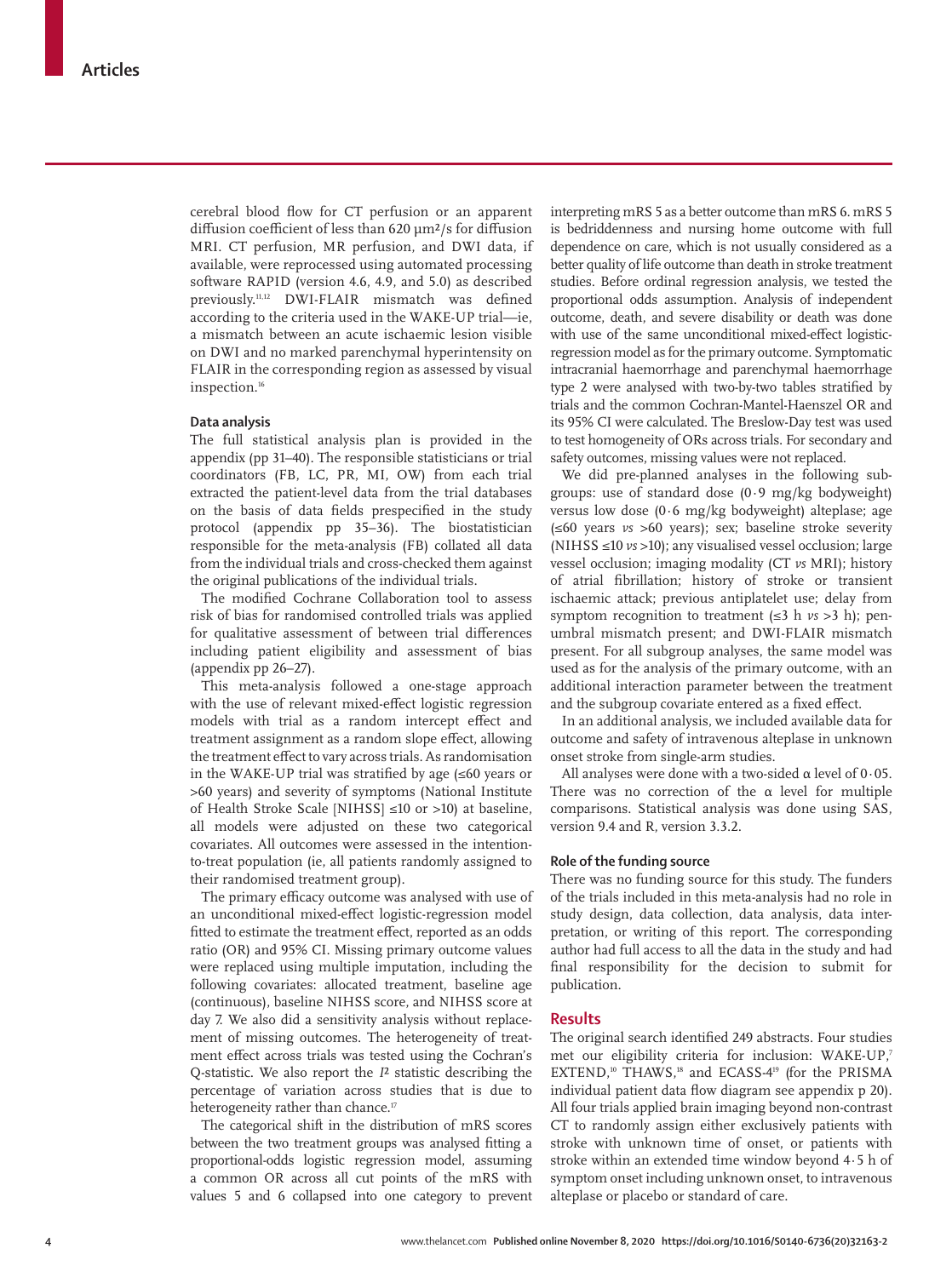cerebral blood flow for CT perfusion or an apparent diffusion coefficient of less than 620 μm²/s for diffusion MRI. CT perfusion, MR perfusion, and DWI data, if available, were reprocessed using automated processing software RAPID (version 4.6, 4.9, and 5.0) as described previously.11,12 DWI-FLAIR mismatch was defined according to the criteria used in the WAKE-UP trial—ie, a mismatch between an acute ischaemic lesion visible on DWI and no marked parenchymal hyperintensity on FLAIR in the corresponding region as assessed by visual inspection.<sup>16</sup>

### **Data analysis**

The full statistical analysis plan is provided in the appendix (pp 31–40). The responsible statisticians or trial coordinators (FB, LC, PR, MI, OW) from each trial extracted the patient-level data from the trial databases on the basis of data fields prespecified in the study protocol (appendix pp 35–36). The biostatistician responsible for the meta-analysis (FB) collated all data from the individual trials and cross-checked them against the original publications of the individual trials.

The modified Cochrane Collaboration tool to assess risk of bias for randomised controlled trials was applied for qualitative assessment of between trial differences including patient eligibility and assessment of bias (appendix pp 26–27).

This meta-analysis followed a one-stage approach with the use of relevant mixed-effect logistic regression models with trial as a random intercept effect and treatment assignment as a random slope effect, allowing the treatment effect to vary across trials. As randomisation in the WAKE-UP trial was stratified by age (≤60 years or >60 years) and severity of symptoms (National Institute of Health Stroke Scale [NIHSS] ≤10 or >10) at baseline, all models were adjusted on these two categorical covariates. All outcomes were assessed in the intentionto-treat population (ie, all patients randomly assigned to their randomised treatment group).

The primary efficacy outcome was analysed with use of an unconditional mixed-effect logistic-regression model fitted to estimate the treatment effect, reported as an odds ratio (OR) and 95% CI. Missing primary outcome values were replaced using multiple imputation, including the following covariates: allocated treatment, baseline age (continuous), baseline NIHSS score, and NIHSS score at day 7. We also did a sensitivity analysis without replacement of missing outcomes. The heterogeneity of treatment effect across trials was tested using the Cochran's Q-statistic. We also report the *I*² statistic describing the percentage of variation across studies that is due to heterogeneity rather than chance.<sup>17</sup>

The categorical shift in the distribution of mRS scores between the two treatment groups was analysed fitting a proportional-odds logistic regression model, assuming a common OR across all cut points of the mRS with values 5 and 6 collapsed into one category to prevent interpreting mRS 5 as a better outcome than mRS 6. mRS 5 is bedriddenness and nursing home outcome with full dependence on care, which is not usually considered as a better quality of life outcome than death in stroke treatment studies. Before ordinal regression analysis, we tested the proportional odds assumption. Analysis of independent outcome, death, and severe disability or death was done with use of the same unconditional mixed-effect logisticregression model as for the primary outcome. Symptomatic intracranial haemorrhage and parenchymal haemorrhage type 2 were analysed with two-by-two tables stratified by trials and the common Cochran-Mantel-Haenszel OR and its 95% CI were calculated. The Breslow-Day test was used to test homogeneity of ORs across trials. For secondary and safety outcomes, missing values were not replaced.

We did pre-planned analyses in the following subgroups: use of standard dose (0·9 mg/kg bodyweight) versus low dose (0·6 mg/kg bodyweight) alteplase; age (≤60 years *vs* >60 years); sex; baseline stroke severity (NIHSS ≤10 *vs* >10); any visualised vessel occlusion; large vessel occlusion; imaging modality (CT *vs* MRI); history of atrial fibrillation; history of stroke or transient ischaemic attack; previous antiplatelet use; delay from symptom recognition to treatment (≤3 h *vs* >3 h); penumbral mismatch present; and DWI-FLAIR mismatch present. For all subgroup analyses, the same model was used as for the analysis of the primary outcome, with an additional interaction parameter between the treatment and the subgroup covariate entered as a fixed effect.

In an additional analysis, we included available data for outcome and safety of intravenous alteplase in unknown onset stroke from single-arm studies.

All analyses were done with a two-sided  $\alpha$  level of 0.05. There was no correction of the  $\alpha$  level for multiple comparisons. Statistical analysis was done using SAS, version 9.4 and R, version 3.3.2.

#### **Role of the funding source**

There was no funding source for this study. The funders of the trials included in this meta-analysis had no role in study design, data collection, data analysis, data interpretation, or writing of this report. The corresponding author had full access to all the data in the study and had final responsibility for the decision to submit for publication.

#### **Results**

The original search identified 249 abstracts. Four studies met our eligibility criteria for inclusion: WAKE-UP,7 EXTEND,<sup>10</sup> THAWS,<sup>18</sup> and ECASS-4<sup>19</sup> (for the PRISMA individual patient data flow diagram see appendix p 20). All four trials applied brain imaging beyond non-contrast CT to randomly assign either exclusively patients with stroke with unknown time of onset, or patients with stroke within an extended time window beyond 4·5 h of symptom onset including unknown onset, to intravenous alteplase or placebo or standard of care.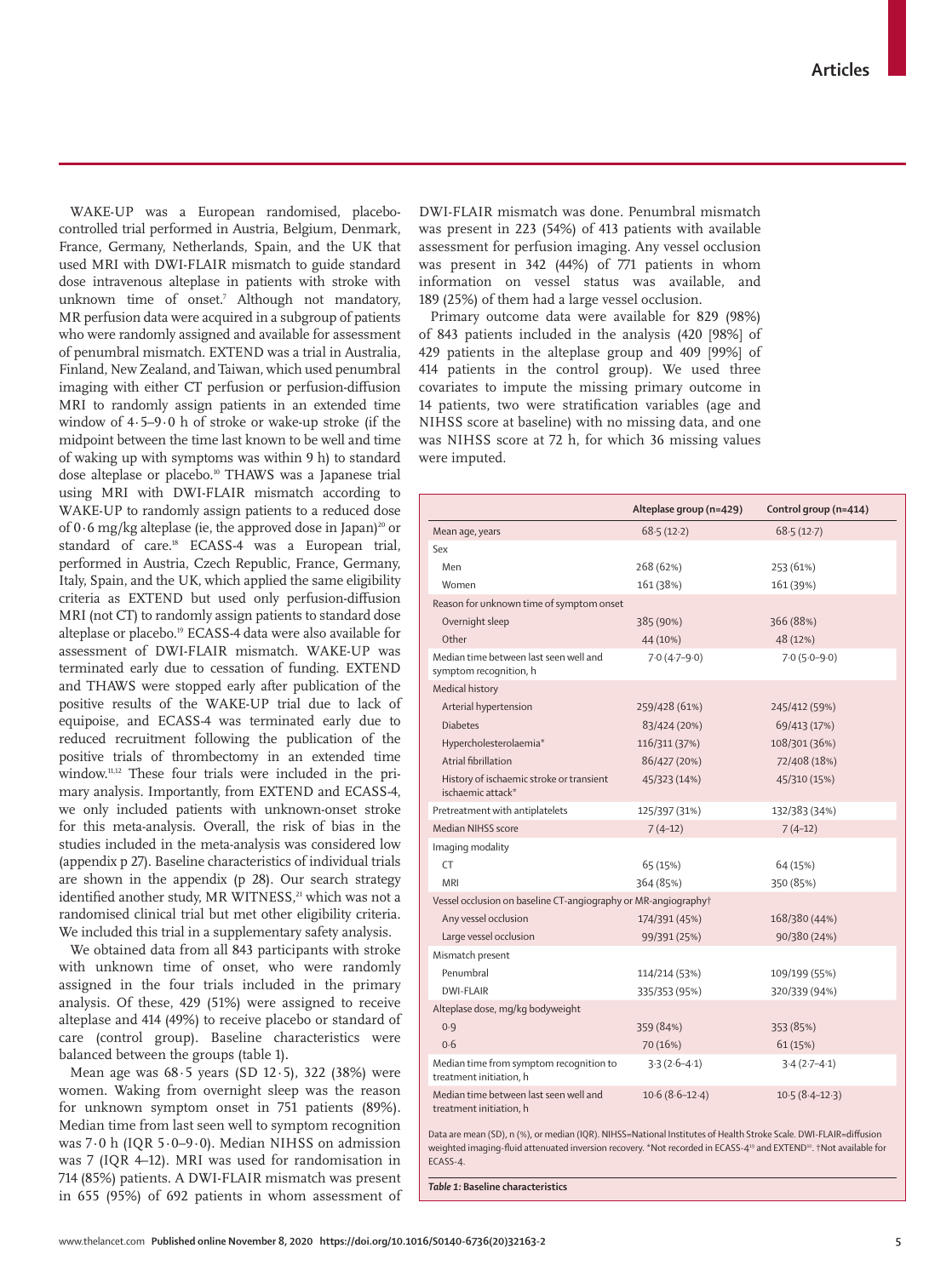WAKE-UP was a European randomised, placebocontrolled trial performed in Austria, Belgium, Denmark, France, Germany, Netherlands, Spain, and the UK that used MRI with DWI-FLAIR mismatch to guide standard dose intravenous alteplase in patients with stroke with unknown time of onset.7 Although not mandatory, MR perfusion data were acquired in a subgroup of patients who were randomly assigned and available for assessment of penumbral mismatch. EXTEND was a trial in Australia, Finland, New Zealand, and Taiwan, which used penumbral imaging with either CT perfusion or perfusion-diffusion MRI to randomly assign patients in an extended time window of 4·5–9·0 h of stroke or wake-up stroke (if the midpoint between the time last known to be well and time of waking up with symptoms was within 9 h) to standard dose alteplase or placebo.<sup>10</sup> THAWS was a Japanese trial using MRI with DWI-FLAIR mismatch according to WAKE-UP to randomly assign patients to a reduced dose of 0.6 mg/kg alteplase (ie, the approved dose in Japan)<sup>20</sup> or standard of care.<sup>18</sup> ECASS-4 was a European trial, performed in Austria, Czech Republic, France, Germany, Italy, Spain, and the UK, which applied the same eligibility criteria as EXTEND but used only perfusion-diffusion MRI (not CT) to randomly assign patients to standard dose alteplase or placebo.19 ECASS-4 data were also available for assessment of DWI-FLAIR mismatch. WAKE-UP was terminated early due to cessation of funding. EXTEND and THAWS were stopped early after publication of the positive results of the WAKE-UP trial due to lack of equipoise, and ECASS-4 was terminated early due to reduced recruitment following the publication of the positive trials of thrombectomy in an extended time window.<sup>11,12</sup> These four trials were included in the primary analysis. Importantly, from EXTEND and ECASS-4, we only included patients with unknown-onset stroke for this meta-analysis. Overall, the risk of bias in the studies included in the meta-analysis was considered low (appendix p 27). Baseline characteristics of individual trials are shown in the appendix (p 28). Our search strategy identified another study, MR WITNESS,<sup>21</sup> which was not a randomised clinical trial but met other eligibility criteria. We included this trial in a supplementary safety analysis.

We obtained data from all 843 participants with stroke with unknown time of onset, who were randomly assigned in the four trials included in the primary analysis. Of these, 429 (51%) were assigned to receive alteplase and 414 (49%) to receive placebo or standard of care (control group). Baseline characteristics were balanced between the groups (table 1).

Mean age was 68·5 years (SD 12·5), 322 (38%) were women. Waking from overnight sleep was the reason for unknown symptom onset in 751 patients (89%). Median time from last seen well to symptom recognition was 7·0 h (IQR 5·0–9·0). Median NIHSS on admission was 7 (IQR 4–12). MRI was used for randomisation in 714 (85%) patients. A DWI-FLAIR mismatch was present in 655 (95%) of 692 patients in whom assessment of

DWI-FLAIR mismatch was done. Penumbral mismatch was present in 223 (54%) of 413 patients with available assessment for perfusion imaging. Any vessel occlusion was present in 342 (44%) of 771 patients in whom information on vessel status was available, and 189 (25%) of them had a large vessel occlusion.

Primary outcome data were available for 829 (98%) of 843 patients included in the analysis (420 [98%] of 429 patients in the alteplase group and 409 [99%] of 414 patients in the control group). We used three covariates to impute the missing primary outcome in 14 patients, two were stratification variables (age and NIHSS score at baseline) with no missing data, and one was NIHSS score at 72 h, for which 36 missing values were imputed.

|                                                                    | Alteplase group (n=429) | Control group (n=414) |  |  |  |
|--------------------------------------------------------------------|-------------------------|-----------------------|--|--|--|
| Mean age, years                                                    | 68.5(12.2)              | 68.5(12.7)            |  |  |  |
| Sex                                                                |                         |                       |  |  |  |
| Men                                                                | 268 (62%)               | 253 (61%)             |  |  |  |
| Women                                                              | 161 (38%)               | 161 (39%)             |  |  |  |
| Reason for unknown time of symptom onset                           |                         |                       |  |  |  |
| Overnight sleep                                                    | 385 (90%)               | 366 (88%)             |  |  |  |
| Other                                                              | 44 (10%)                | 48 (12%)              |  |  |  |
| Median time between last seen well and<br>symptom recognition, h   | $7.0(4.7-9.0)$          | $7.0(5.0-9.0)$        |  |  |  |
| Medical history                                                    |                         |                       |  |  |  |
| Arterial hypertension                                              | 259/428 (61%)           | 245/412 (59%)         |  |  |  |
| <b>Diabetes</b>                                                    | 83/424 (20%)            | 69/413 (17%)          |  |  |  |
| Hypercholesterolaemia*                                             | 116/311 (37%)           | 108/301 (36%)         |  |  |  |
| Atrial fibrillation                                                | 86/427 (20%)            | 72/408 (18%)          |  |  |  |
| History of ischaemic stroke or transient<br>ischaemic attack*      | 45/323 (14%)            | 45/310 (15%)          |  |  |  |
| Pretreatment with antiplatelets                                    | 125/397 (31%)           | 132/383 (34%)         |  |  |  |
| Median NIHSS score                                                 | $7(4-12)$               | $7(4-12)$             |  |  |  |
| Imaging modality                                                   |                         |                       |  |  |  |
| <b>CT</b>                                                          | 65 (15%)                | 64 (15%)              |  |  |  |
| <b>MRI</b>                                                         | 364 (85%)               | 350 (85%)             |  |  |  |
| Vessel occlusion on baseline CT-angiography or MR-angiographyt     |                         |                       |  |  |  |
| Any vessel occlusion                                               | 174/391 (45%)           | 168/380 (44%)         |  |  |  |
| Large vessel occlusion                                             | 99/391 (25%)            | 90/380 (24%)          |  |  |  |
| Mismatch present                                                   |                         |                       |  |  |  |
| Penumbral                                                          | 114/214 (53%)           | 109/199 (55%)         |  |  |  |
| <b>DWI-FLAIR</b>                                                   | 335/353 (95%)           | 320/339 (94%)         |  |  |  |
| Alteplase dose, mg/kg bodyweight                                   |                         |                       |  |  |  |
| 0.9                                                                | 359 (84%)               | 353 (85%)             |  |  |  |
| 0.6                                                                | 70 (16%)                | 61(15%)               |  |  |  |
| Median time from symptom recognition to<br>treatment initiation, h | $3.3(2.6-4.1)$          | $3.4(2.7 - 4.1)$      |  |  |  |
| Median time between last seen well and<br>treatment initiation, h  | $10.6(8.6-12.4)$        | $10.5(8.4-12.3)$      |  |  |  |

Data are mean (SD), n (%), or median (IQR). NIHSS=National Institutes of Health Stroke Scale. DWI-FLAIR=diffusion weighted imaging-fluid attenuated inversion recovery. \*Not recorded in ECASS-419 and EXTEND10. †Not available for ECASS-4.

*Table 1:* **Baseline characteristics**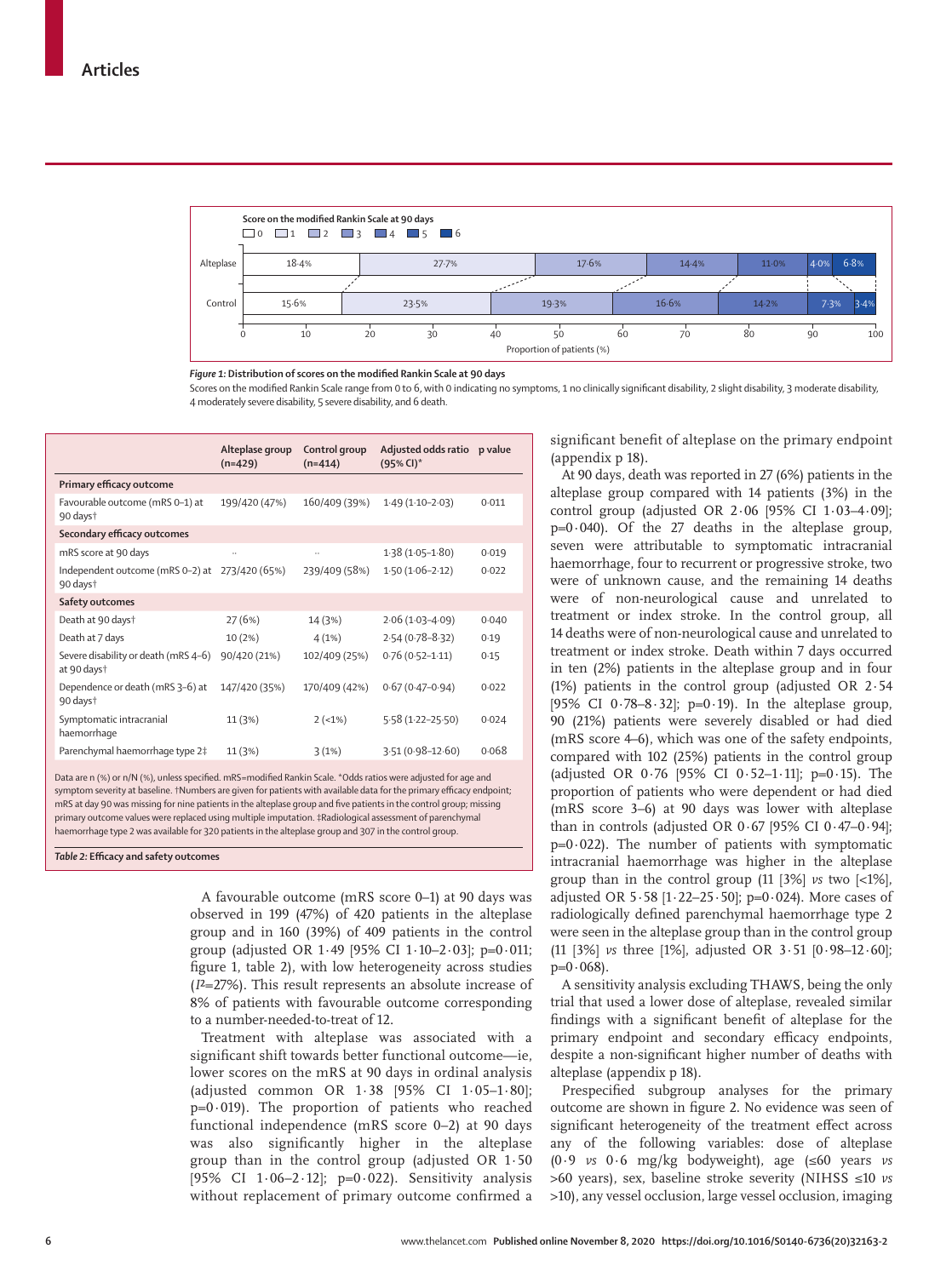

*Figure 1:* **Distribution of scores on the modified Rankin Scale at 90 days**

Scores on the modified Rankin Scale range from 0 to 6, with 0 indicating no symptoms, 1 no clinically significant disability, 2 slight disability, 3 moderate disability, 4 moderately severe disability, 5 severe disability, and 6 death.

|                                                                                                                | Alteplase group<br>$(n=429)$ | Control group<br>$(n=414)$ | Adjusted odds ratio p value<br>$(95% CI)^*$ |       |  |  |  |
|----------------------------------------------------------------------------------------------------------------|------------------------------|----------------------------|---------------------------------------------|-------|--|--|--|
| Primary efficacy outcome                                                                                       |                              |                            |                                             |       |  |  |  |
| Favourable outcome (mRS 0-1) at<br>90 days†                                                                    | 199/420 (47%)                | 160/409 (39%)              | $1.49(1.10-2.03)$                           | 0.011 |  |  |  |
| Secondary efficacy outcomes                                                                                    |                              |                            |                                             |       |  |  |  |
| mRS score at 90 days                                                                                           |                              | $\cdot$ .                  | $1.38(1.05 - 1.80)$                         | 0.019 |  |  |  |
| Independent outcome (mRS 0-2) at 273/420 (65%)<br>90 days†                                                     |                              | 239/409 (58%)              | $1.50(1.06-2.12)$                           | 0.022 |  |  |  |
| Safety outcomes                                                                                                |                              |                            |                                             |       |  |  |  |
| Death at 90 days†                                                                                              | 27(6%)                       | 14 (3%)                    | $2.06(1.03 - 4.09)$                         | 0.040 |  |  |  |
| Death at 7 days                                                                                                | 10(2%)                       | 4(1%)                      | $2.54(0.78-8.32)$                           | 0.19  |  |  |  |
| Severe disability or death (mRS 4-6)<br>at 90 days†                                                            | 90/420 (21%)                 | 102/409 (25%)              | $0.76(0.52 - 1.11)$                         | 0.15  |  |  |  |
| Dependence or death (mRS 3-6) at<br>90 dayst                                                                   | 147/420 (35%)                | 170/409 (42%)              | $0.67(0.47 - 0.94)$                         | 0.022 |  |  |  |
| Symptomatic intracranial<br>haemorrhage                                                                        | 11 (3%)                      | $2(-1%)$                   | $5.58(1.22 - 25.50)$                        | 0.024 |  |  |  |
| Parenchymal haemorrhage type 2‡                                                                                | 11 (3%)                      | 3(1%)                      | $3.51(0.98 - 12.60)$                        | 0.068 |  |  |  |
| Data are n (%) or n/N (%), unless specified. mRS=modified Rankin Scale. *Odds ratios were adjusted for age and |                              |                            |                                             |       |  |  |  |

symptom severity at baseline. †Numbers are given for patients with available data for the primary efficacy endpoint; mRS at day 90 was missing for nine patients in the alteplase group and five patients in the control group; missing primary outcome values were replaced using multiple imputation. ‡Radiological assessment of parenchymal haemorrhage type 2 was available for 320 patients in the alteplase group and 307 in the control group.

*Table 2:* **Efficacy and safety outcomes**

A favourable outcome (mRS score 0–1) at 90 days was observed in 199 (47%) of 420 patients in the alteplase group and in 160 (39%) of 409 patients in the control group (adjusted OR 1.49 [95% CI  $1.10-2.03$ ]; p=0.011; figure 1, table 2), with low heterogeneity across studies (*I*=27%). This result represents an absolute increase of 8% of patients with favourable outcome corresponding to a number-needed-to-treat of 12.

Treatment with alteplase was associated with a significant shift towards better functional outcome—ie, lower scores on the mRS at 90 days in ordinal analysis (adjusted common OR 1·38 [95% CI 1·05–1·80];  $p=0.019$ ). The proportion of patients who reached functional independence (mRS score 0–2) at 90 days was also significantly higher in the alteplase group than in the control group (adjusted OR 1·50 [95% CI  $1.06-2.12$ ]; p=0.022). Sensitivity analysis without replacement of primary outcome confirmed a significant benefit of alteplase on the primary endpoint (appendix p 18).

At 90 days, death was reported in 27 (6%) patients in the alteplase group compared with 14 patients (3%) in the control group (adjusted OR 2·06 [95% CI 1·03–4·09];  $p=0.040$ ). Of the 27 deaths in the alteplase group, seven were attributable to symptomatic intracranial haemorrhage, four to recurrent or progressive stroke, two were of unknown cause, and the remaining 14 deaths were of non-neurological cause and unrelated to treatment or index stroke. In the control group, all 14 deaths were of non-neurological cause and unrelated to treatment or index stroke. Death within 7 days occurred in ten (2%) patients in the alteplase group and in four (1%) patients in the control group (adjusted OR 2·54 [95% CI 0·78–8·32]; p=0·19). In the alteplase group, 90 (21%) patients were severely disabled or had died (mRS score 4–6), which was one of the safety endpoints, compared with 102 (25%) patients in the control group (adjusted OR  $0.76$  [95% CI  $0.52-1.11$ ]; p=0.15). The proportion of patients who were dependent or had died (mRS score 3–6) at 90 days was lower with alteplase than in controls (adjusted OR  $0.67$  [95% CI  $0.47-0.94$ ];  $p=0.022$ ). The number of patients with symptomatic intracranial haemorrhage was higher in the alteplase group than in the control group (11 [3%] *vs* two [<1%], adjusted OR 5 $\cdot$  58 [1 $\cdot$  22-25 $\cdot$  50]; p=0 $\cdot$  024). More cases of radiologically defined parenchymal haemorrhage type 2 were seen in the alteplase group than in the control group (11 [3%] *vs* three [1%], adjusted OR 3·51 [0·98–12·60];  $p=0.068$ ).

A sensitivity analysis excluding THAWS, being the only trial that used a lower dose of alteplase, revealed similar findings with a significant benefit of alteplase for the primary endpoint and secondary efficacy endpoints, despite a non-significant higher number of deaths with alteplase (appendix p 18).

Prespecified subgroup analyses for the primary outcome are shown in figure 2. No evidence was seen of significant heterogeneity of the treatment effect across any of the following variables: dose of alteplase (0·9 *vs* 0·6 mg/kg bodyweight), age (≤60 years *vs* >60 years), sex, baseline stroke severity (NIHSS ≤10 *vs* >10), any vessel occlusion, large vessel occlusion, imaging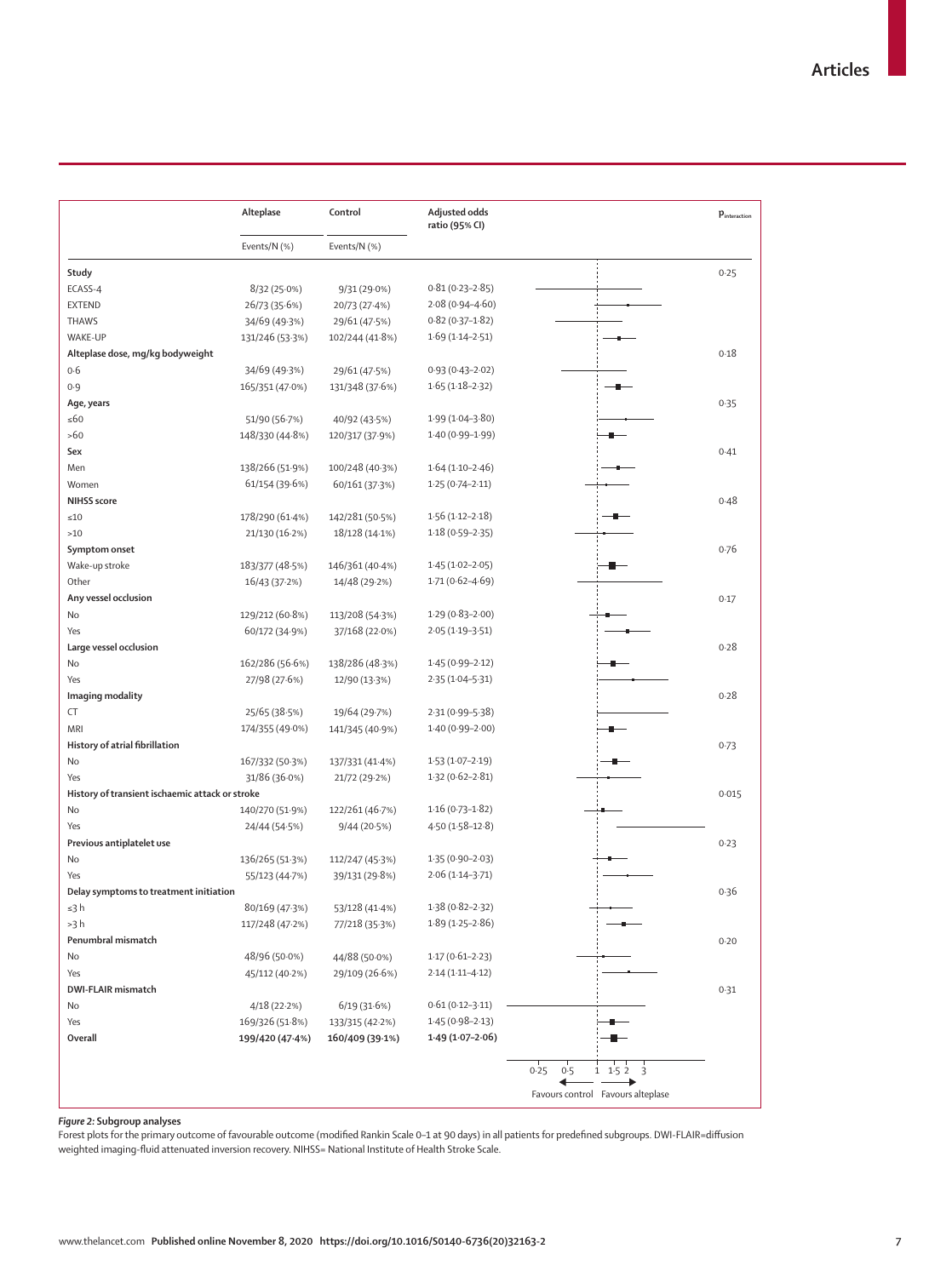|                                                 | Alteplase       | Control         | Adjusted odds<br>ratio (95% CI) |                                          | Pinteraction |
|-------------------------------------------------|-----------------|-----------------|---------------------------------|------------------------------------------|--------------|
|                                                 | Events/N (%)    | Events/N (%)    |                                 |                                          |              |
| Study                                           |                 |                 |                                 |                                          | 0.25         |
| ECASS-4                                         | 8/32(25.0%)     | 9/31(29.0%)     | $0.81(0.23 - 2.85)$             |                                          |              |
| <b>EXTEND</b>                                   | 26/73 (35.6%)   | 20/73 (27-4%)   | $2.08(0.94 - 4.60)$             |                                          |              |
| <b>THAWS</b>                                    | 34/69 (49.3%)   | 29/61 (47.5%)   | $0.82(0.37 - 1.82)$             |                                          |              |
| WAKE-UP                                         | 131/246 (53.3%) | 102/244 (41.8%) | $1.69(1.14 - 2.51)$             |                                          |              |
| Alteplase dose, mg/kg bodyweight                |                 |                 |                                 |                                          | 0.18         |
| 0.6                                             | 34/69 (49.3%)   | 29/61 (47.5%)   | $0.93(0.43 - 2.02)$             |                                          |              |
| 0.9                                             | 165/351 (47.0%) | 131/348 (37.6%) | $1.65(1.18-2.32)$               |                                          |              |
| Age, years                                      |                 |                 |                                 |                                          | 0.35         |
| ≤60                                             | 51/90 (56.7%)   | 40/92 (43.5%)   | $1.99(1.04 - 3.80)$             |                                          |              |
| >60                                             | 148/330 (44.8%) | 120/317 (37.9%) | $1.40(0.99 - 1.99)$             |                                          |              |
| Sex                                             |                 |                 |                                 |                                          | 0.41         |
| Men                                             | 138/266 (51.9%) | 100/248 (40.3%) | $1.64(1.10-2.46)$               |                                          |              |
| Women                                           | 61/154 (39.6%)  | 60/161 (37.3%)  | $1.25(0.74 - 2.11)$             |                                          |              |
| <b>NIHSS</b> score                              |                 |                 |                                 |                                          | 0.48         |
| ${<}10$                                         | 178/290 (61.4%) | 142/281 (50.5%) | $1.56(1.12 - 2.18)$             | x                                        |              |
| >10                                             | 21/130 (16-2%)  | 18/128 (14-1%)  | $1.18(0.59 - 2.35)$             |                                          |              |
| Symptom onset                                   |                 |                 |                                 |                                          | 0.76         |
| Wake-up stroke                                  | 183/377 (48.5%) | 146/361 (40.4%) | $1.45(1.02 - 2.05)$             | ┺                                        |              |
| Other                                           | 16/43 (37.2%)   | 14/48 (29.2%)   | $1.71(0.62 - 4.69)$             |                                          |              |
| Any vessel occlusion                            |                 |                 |                                 |                                          | 0.17         |
| No                                              | 129/212 (60.8%) | 113/208 (54.3%) | $1.29(0.83 - 2.00)$             |                                          |              |
| Yes                                             | 60/172 (34.9%)  | 37/168 (22.0%)  | $2.05(1.19-3.51)$               |                                          |              |
| Large vessel occlusion                          |                 |                 |                                 |                                          | 0.28         |
| No                                              | 162/286 (56.6%) | 138/286 (48.3%) | $1.45(0.99 - 2.12)$             |                                          |              |
| Yes                                             | 27/98 (27.6%)   | 12/90 (13.3%)   | $2.35(1.04 - 5.31)$             |                                          |              |
| Imaging modality                                |                 |                 |                                 |                                          | 0.28         |
| CT                                              |                 |                 | $2.31(0.99 - 5.38)$             |                                          |              |
| <b>MRI</b>                                      | 25/65 (38.5%)   | 19/64 (29.7%)   | $1.40(0.99 - 2.00)$             |                                          |              |
|                                                 | 174/355 (49.0%) | 141/345 (40.9%) |                                 |                                          |              |
| History of atrial fibrillation                  |                 |                 |                                 |                                          | 0.73         |
| No                                              | 167/332 (50.3%) | 137/331 (41.4%) | $1.53(1.07 - 2.19)$             |                                          |              |
| Yes                                             | 31/86 (36.0%)   | 21/72 (29.2%)   | $1.32(0.62 - 2.81)$             |                                          |              |
| History of transient ischaemic attack or stroke |                 |                 |                                 |                                          | 0.015        |
| No                                              | 140/270 (51.9%) | 122/261 (46.7%) | $1.16(0.73 - 1.82)$             |                                          |              |
| Yes                                             | 24/44 (54.5%)   | 9/44 (20.5%)    | $4.50(1.58-12.8)$               |                                          |              |
| Previous antiplatelet use                       |                 |                 |                                 |                                          | 0.23         |
| No                                              | 136/265 (51.3%) | 112/247 (45.3%) | $1.35(0.90-2.03)$               |                                          |              |
| Yes                                             | 55/123 (44.7%)  | 39/131 (29.8%)  | $2.06(1.14-3.71)$               |                                          |              |
| Delay symptoms to treatment initiation          |                 |                 |                                 |                                          | 0.36         |
| ≤3 h                                            | 80/169 (47.3%)  | 53/128 (41.4%)  | 1.38 (0.82-2.32)                |                                          |              |
| >3 h                                            | 117/248 (47-2%) | 77/218 (35.3%)  | $1.89(1.25 - 2.86)$             |                                          |              |
| Penumbral mismatch                              |                 |                 |                                 |                                          | 0.20         |
| No                                              | 48/96 (50.0%)   | 44/88 (50.0%)   | $1.17(0.61 - 2.23)$             |                                          |              |
| Yes                                             | 45/112 (40.2%)  | 29/109 (26.6%)  | $2.14(1.11 - 4.12)$             |                                          |              |
| <b>DWI-FLAIR mismatch</b>                       |                 |                 |                                 |                                          | 0.31         |
| No                                              | 4/18(22.2%)     | 6/19(31.6%)     | $0.61(0.12 - 3.11)$             |                                          |              |
| Yes                                             | 169/326 (51.8%) | 133/315 (42-2%) | $1.45(0.98-2.13)$               | ╋                                        |              |
| Overall                                         | 199/420 (47-4%) | 160/409 (39-1%) | $1.49(1.07-2.06)$               | н.                                       |              |
|                                                 |                 |                 |                                 |                                          |              |
|                                                 |                 |                 |                                 | 0.25<br>0.5<br>1.52<br>3<br>$\mathbf{1}$ |              |
|                                                 |                 |                 |                                 | Favours control Favours alteplase        |              |
|                                                 |                 |                 |                                 |                                          |              |

## *Figure 2:* **Subgroup analyses**

Forest plots for the primary outcome of favourable outcome (modified Rankin Scale 0–1 at 90 days) in all patients for predefined subgroups. DWI-FLAIR=diffusion weighted imaging-fluid attenuated inversion recovery. NIHSS= National Institute of Health Stroke Scale.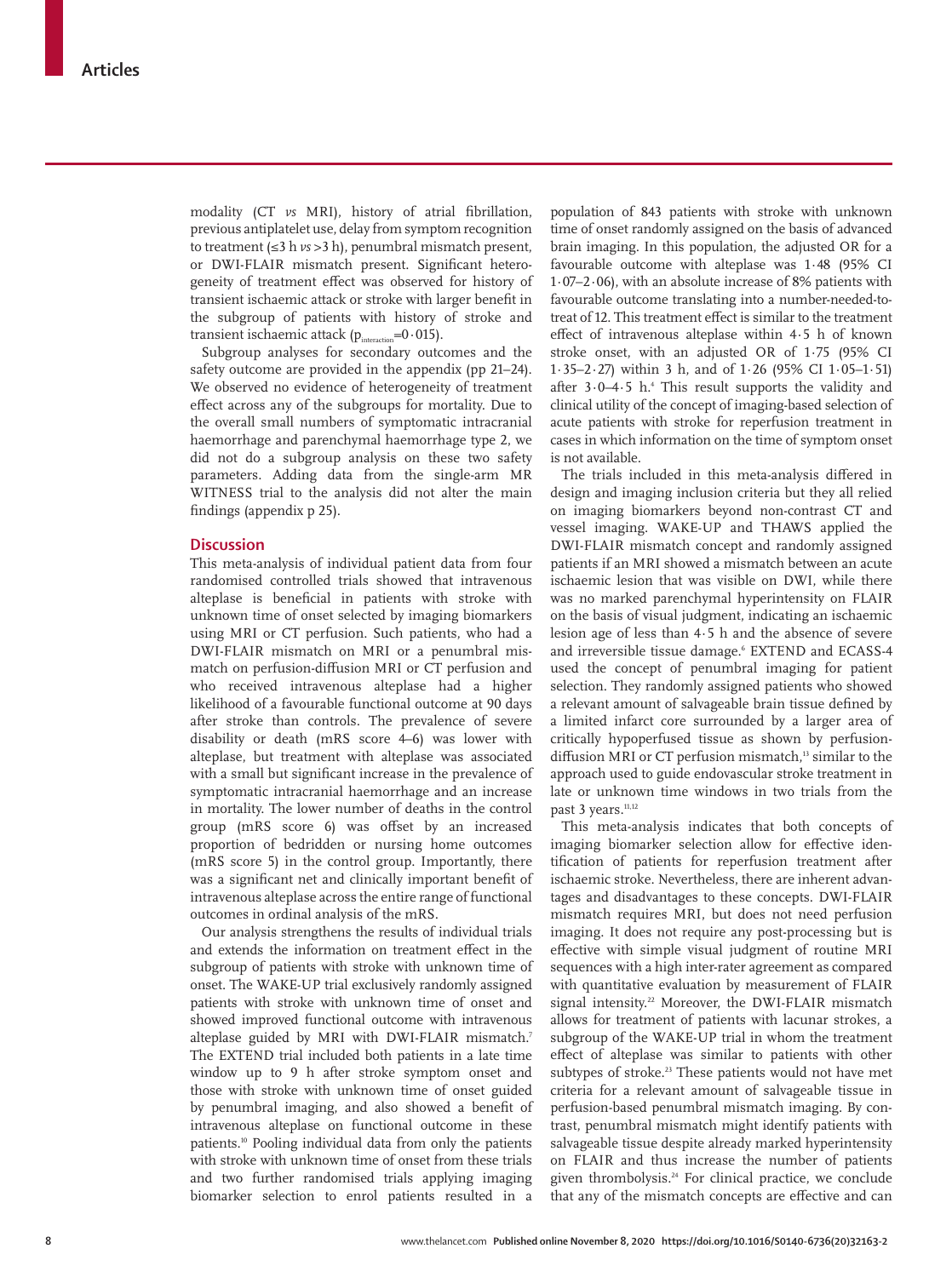modality (CT *vs* MRI), history of atrial fibrillation, previous antiplatelet use, delay from symptom recognition to treatment (≤3 h *vs* >3 h), penumbral mismatch present, or DWI-FLAIR mismatch present. Significant heterogeneity of treatment effect was observed for history of transient ischaemic attack or stroke with larger benefit in the subgroup of patients with history of stroke and transient ischaemic attack ( $p_{interaction} = 0.015$ ).

Subgroup analyses for secondary outcomes and the safety outcome are provided in the appendix (pp 21–24). We observed no evidence of heterogeneity of treatment effect across any of the subgroups for mortality. Due to the overall small numbers of symptomatic intracranial haemorrhage and parenchymal haemorrhage type 2, we did not do a subgroup analysis on these two safety parameters. Adding data from the single-arm MR WITNESS trial to the analysis did not alter the main findings (appendix p 25).

#### **Discussion**

This meta-analysis of individual patient data from four randomised controlled trials showed that intravenous alteplase is beneficial in patients with stroke with unknown time of onset selected by imaging biomarkers using MRI or CT perfusion. Such patients, who had a DWI-FLAIR mismatch on MRI or a penumbral mismatch on perfusion-diffusion MRI or CT perfusion and who received intravenous alteplase had a higher likelihood of a favourable functional outcome at 90 days after stroke than controls. The prevalence of severe disability or death (mRS score 4–6) was lower with alteplase, but treatment with alteplase was associated with a small but significant increase in the prevalence of symptomatic intracranial haemorrhage and an increase in mortality. The lower number of deaths in the control group (mRS score 6) was offset by an increased proportion of bedridden or nursing home outcomes (mRS score 5) in the control group. Importantly, there was a significant net and clinically important benefit of intravenous alteplase across the entire range of functional outcomes in ordinal analysis of the mRS.

Our analysis strengthens the results of individual trials and extends the information on treatment effect in the subgroup of patients with stroke with unknown time of onset. The WAKE-UP trial exclusively randomly assigned patients with stroke with unknown time of onset and showed improved functional outcome with intravenous alteplase guided by MRI with DWI-FLAIR mismatch.7 The EXTEND trial included both patients in a late time window up to 9 h after stroke symptom onset and those with stroke with unknown time of onset guided by penumbral imaging, and also showed a benefit of intravenous alteplase on functional outcome in these patients.<sup>10</sup> Pooling individual data from only the patients with stroke with unknown time of onset from these trials and two further randomised trials applying imaging biomarker selection to enrol patients resulted in a

population of 843 patients with stroke with unknown time of onset randomly assigned on the basis of advanced brain imaging. In this population, the adjusted OR for a favourable outcome with alteplase was 1·48 (95% CI 1·07–2·06), with an absolute increase of 8% patients with favourable outcome translating into a number-needed-totreat of 12. This treatment effect is similar to the treatment effect of intravenous alteplase within 4·5 h of known stroke onset, with an adjusted OR of 1·75 (95% CI 1·35–2·27) within 3 h, and of 1·26 (95% CI 1·05–1·51) after  $3.0-4.5$  h.<sup>4</sup> This result supports the validity and clinical utility of the concept of imaging-based selection of acute patients with stroke for reperfusion treatment in cases in which information on the time of symptom onset is not available.

The trials included in this meta-analysis differed in design and imaging inclusion criteria but they all relied on imaging biomarkers beyond non-contrast CT and vessel imaging. WAKE-UP and THAWS applied the DWI-FLAIR mismatch concept and randomly assigned patients if an MRI showed a mismatch between an acute ischaemic lesion that was visible on DWI, while there was no marked parenchymal hyperintensity on FLAIR on the basis of visual judgment, indicating an ischaemic lesion age of less than 4·5 h and the absence of severe and irreversible tissue damage.<sup>6</sup> EXTEND and ECASS-4 used the concept of penumbral imaging for patient selection. They randomly assigned patients who showed a relevant amount of salvageable brain tissue defined by a limited infarct core surrounded by a larger area of critically hypoperfused tissue as shown by perfusiondiffusion MRI or CT perfusion mismatch,<sup>13</sup> similar to the approach used to guide endovascular stroke treatment in late or unknown time windows in two trials from the past 3 years.<sup>11,12</sup>

This meta-analysis indicates that both concepts of imaging biomarker selection allow for effective identification of patients for reperfusion treatment after ischaemic stroke. Nevertheless, there are inherent advantages and disadvantages to these concepts. DWI-FLAIR mismatch requires MRI, but does not need perfusion imaging. It does not require any post-processing but is effective with simple visual judgment of routine MRI sequences with a high inter-rater agreement as compared with quantitative evaluation by measurement of FLAIR signal intensity.<sup>22</sup> Moreover, the DWI-FLAIR mismatch allows for treatment of patients with lacunar strokes, a subgroup of the WAKE-UP trial in whom the treatment effect of alteplase was similar to patients with other subtypes of stroke.<sup>23</sup> These patients would not have met criteria for a relevant amount of salvageable tissue in perfusion-based penumbral mismatch imaging. By contrast, penumbral mismatch might identify patients with salvageable tissue despite already marked hyperintensity on FLAIR and thus increase the number of patients given thrombolysis.24 For clinical practice, we conclude that any of the mismatch concepts are effective and can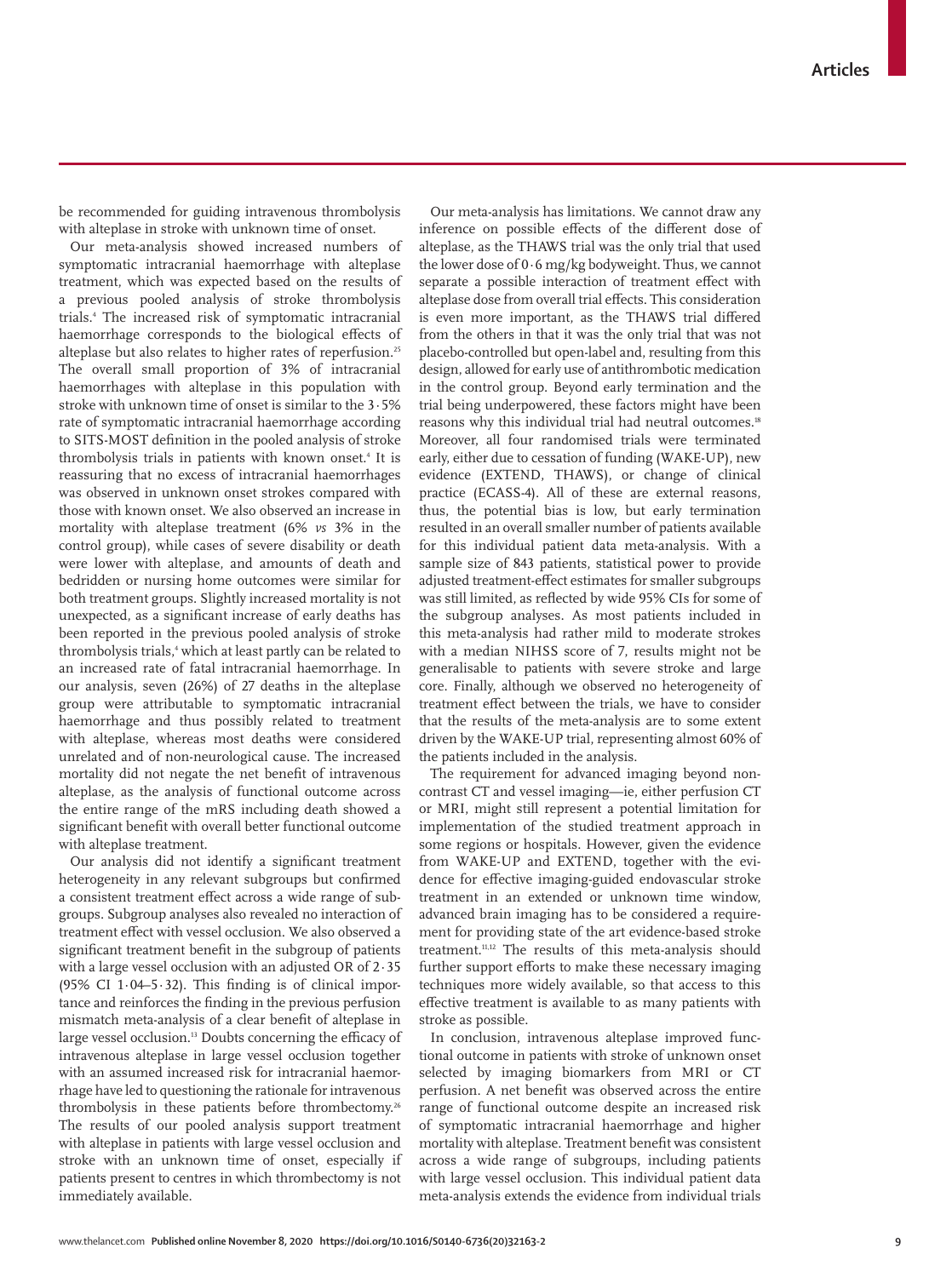be recommended for guiding intravenous thrombolysis with alteplase in stroke with unknown time of onset.

Our meta-analysis showed increased numbers of symptomatic intracranial haemorrhage with alteplase treatment, which was expected based on the results of a previous pooled analysis of stroke thrombolysis trials.4 The increased risk of symptomatic intracranial haemorrhage corresponds to the biological effects of alteplase but also relates to higher rates of reperfusion.<sup>25</sup> The overall small proportion of 3% of intracranial haemorrhages with alteplase in this population with stroke with unknown time of onset is similar to the 3·5% rate of symptomatic intracranial haemorrhage according to SITS-MOST definition in the pooled analysis of stroke thrombolysis trials in patients with known onset.4 It is reassuring that no excess of intracranial haemorrhages was observed in unknown onset strokes compared with those with known onset. We also observed an increase in mortality with alteplase treatment (6% *vs* 3% in the control group), while cases of severe disability or death were lower with alteplase, and amounts of death and bedridden or nursing home outcomes were similar for both treatment groups. Slightly increased mortality is not unexpected, as a significant increase of early deaths has been reported in the previous pooled analysis of stroke thrombolysis trials,<sup>4</sup> which at least partly can be related to an increased rate of fatal intracranial haemorrhage. In our analysis, seven (26%) of 27 deaths in the alteplase group were attributable to symptomatic intracranial haemorrhage and thus possibly related to treatment with alteplase, whereas most deaths were considered unrelated and of non-neurological cause. The increased mortality did not negate the net benefit of intravenous alteplase, as the analysis of functional outcome across the entire range of the mRS including death showed a significant benefit with overall better functional outcome with alteplase treatment.

Our analysis did not identify a significant treatment heterogeneity in any relevant subgroups but confirmed a consistent treatment effect across a wide range of subgroups. Subgroup analyses also revealed no interaction of treatment effect with vessel occlusion. We also observed a significant treatment benefit in the subgroup of patients with a large vessel occlusion with an adjusted OR of 2·35 (95% CI  $1.04 - 5.32$ ). This finding is of clinical importance and reinforces the finding in the previous perfusion mismatch meta-analysis of a clear benefit of alteplase in large vessel occlusion.<sup>13</sup> Doubts concerning the efficacy of intravenous alteplase in large vessel occlusion together with an assumed increased risk for intracranial haemorrhage have led to questioning the rationale for intravenous thrombolysis in these patients before thrombectomy.<sup>26</sup> The results of our pooled analysis support treatment with alteplase in patients with large vessel occlusion and stroke with an unknown time of onset, especially if patients present to centres in which thrombectomy is not immediately available.

Our meta-analysis has limitations. We cannot draw any inference on possible effects of the different dose of alteplase, as the THAWS trial was the only trial that used the lower dose of 0·6 mg/kg bodyweight. Thus, we cannot separate a possible interaction of treatment effect with alteplase dose from overall trial effects. This consideration is even more important, as the THAWS trial differed from the others in that it was the only trial that was not placebo-controlled but open-label and, resulting from this design, allowed for early use of antithrombotic medication in the control group. Beyond early termination and the trial being underpowered, these factors might have been reasons why this individual trial had neutral outcomes.18 Moreover, all four randomised trials were terminated early, either due to cessation of funding (WAKE-UP), new evidence (EXTEND, THAWS), or change of clinical practice (ECASS-4). All of these are external reasons, thus, the potential bias is low, but early termination resulted in an overall smaller number of patients available for this individual patient data meta-analysis. With a sample size of 843 patients, statistical power to provide adjusted treatment-effect estimates for smaller subgroups was still limited, as reflected by wide 95% CIs for some of the subgroup analyses. As most patients included in this meta-analysis had rather mild to moderate strokes with a median NIHSS score of 7, results might not be generalisable to patients with severe stroke and large core. Finally, although we observed no heterogeneity of treatment effect between the trials, we have to consider that the results of the meta-analysis are to some extent driven by the WAKE-UP trial, representing almost 60% of the patients included in the analysis.

The requirement for advanced imaging beyond noncontrast CT and vessel imaging—ie, either perfusion CT or MRI, might still represent a potential limitation for implementation of the studied treatment approach in some regions or hospitals. However, given the evidence from WAKE-UP and EXTEND, together with the evidence for effective imaging-guided endovascular stroke treatment in an extended or unknown time window, advanced brain imaging has to be considered a requirement for providing state of the art evidence-based stroke treatment.11,12 The results of this meta-analysis should further support efforts to make these necessary imaging techniques more widely available, so that access to this effective treatment is available to as many patients with stroke as possible.

In conclusion, intravenous alteplase improved functional outcome in patients with stroke of unknown onset selected by imaging biomarkers from MRI or CT perfusion. A net benefit was observed across the entire range of functional outcome despite an increased risk of symptomatic intracranial haemorrhage and higher mortality with alteplase. Treatment benefit was consistent across a wide range of subgroups, including patients with large vessel occlusion. This individual patient data meta-analysis extends the evidence from individual trials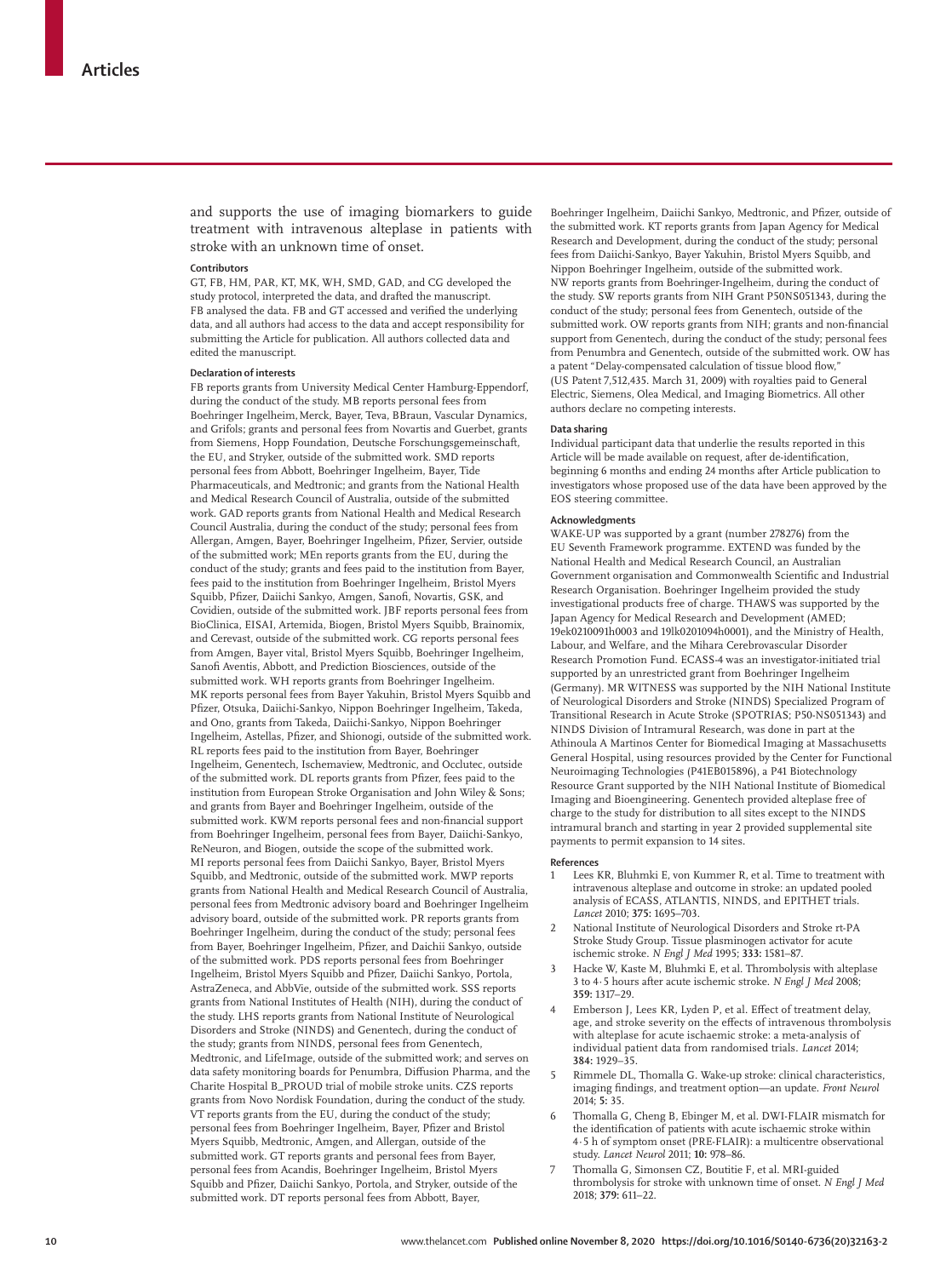and supports the use of imaging biomarkers to guide treatment with intravenous alteplase in patients with stroke with an unknown time of onset.

#### **Contributors**

GT, FB, HM, PAR, KT, MK, WH, SMD, GAD, and CG developed the study protocol, interpreted the data, and drafted the manuscript. FB analysed the data. FB and GT accessed and verified the underlying data, and all authors had access to the data and accept responsibility for submitting the Article for publication. All authors collected data and edited the manuscript.

#### **Declaration of interests**

FB reports grants from University Medical Center Hamburg-Eppendorf, during the conduct of the study. MB reports personal fees from Boehringer Ingelheim, Merck, Bayer, Teva, BBraun, Vascular Dynamics, and Grifols; grants and personal fees from Novartis and Guerbet, grants from Siemens, Hopp Foundation, Deutsche Forschungsgemeinschaft, the EU, and Stryker, outside of the submitted work. SMD reports personal fees from Abbott, Boehringer Ingelheim, Bayer, Tide Pharmaceuticals, and Medtronic; and grants from the National Health and Medical Research Council of Australia, outside of the submitted work. GAD reports grants from National Health and Medical Research Council Australia, during the conduct of the study; personal fees from Allergan, Amgen, Bayer, Boehringer Ingelheim, Pfizer, Servier, outside of the submitted work; MEn reports grants from the EU, during the conduct of the study; grants and fees paid to the institution from Bayer, fees paid to the institution from Boehringer Ingelheim, Bristol Myers Squibb, Pfizer, Daiichi Sankyo, Amgen, Sanofi, Novartis, GSK, and Covidien, outside of the submitted work. JBF reports personal fees from BioClinica, EISAI, Artemida, Biogen, Bristol Myers Squibb, Brainomix, and Cerevast, outside of the submitted work. CG reports personal fees from Amgen, Bayer vital, Bristol Myers Squibb, Boehringer Ingelheim, Sanofi Aventis, Abbott, and Prediction Biosciences, outside of the submitted work. WH reports grants from Boehringer Ingelheim. MK reports personal fees from Bayer Yakuhin, Bristol Myers Squibb and Pfizer, Otsuka, Daiichi-Sankyo, Nippon Boehringer Ingelheim, Takeda, and Ono, grants from Takeda, Daiichi-Sankyo, Nippon Boehringer Ingelheim, Astellas, Pfizer, and Shionogi, outside of the submitted work. RL reports fees paid to the institution from Bayer, Boehringer Ingelheim, Genentech, Ischemaview, Medtronic, and Occlutec, outside of the submitted work. DL reports grants from Pfizer, fees paid to the institution from European Stroke Organisation and John Wiley & Sons; and grants from Bayer and Boehringer Ingelheim, outside of the submitted work. KWM reports personal fees and non-financial support from Boehringer Ingelheim, personal fees from Bayer, Daiichi-Sankyo, ReNeuron, and Biogen, outside the scope of the submitted work. MI reports personal fees from Daiichi Sankyo, Bayer, Bristol Myers Squibb, and Medtronic, outside of the submitted work. MWP reports grants from National Health and Medical Research Council of Australia, personal fees from Medtronic advisory board and Boehringer Ingelheim advisory board, outside of the submitted work. PR reports grants from Boehringer Ingelheim, during the conduct of the study; personal fees from Bayer, Boehringer Ingelheim, Pfizer, and Daichii Sankyo, outside of the submitted work. PDS reports personal fees from Boehringer Ingelheim, Bristol Myers Squibb and Pfizer, Daiichi Sankyo, Portola, AstraZeneca, and AbbVie, outside of the submitted work. SSS reports grants from National Institutes of Health (NIH), during the conduct of the study. LHS reports grants from National Institute of Neurological Disorders and Stroke (NINDS) and Genentech, during the conduct of the study; grants from NINDS, personal fees from Genentech, Medtronic, and LifeImage, outside of the submitted work; and serves on data safety monitoring boards for Penumbra, Diffusion Pharma, and the Charite Hospital B\_PROUD trial of mobile stroke units. CZS reports grants from Novo Nordisk Foundation, during the conduct of the study. VT reports grants from the EU, during the conduct of the study; personal fees from Boehringer Ingelheim, Bayer, Pfizer and Bristol Myers Squibb, Medtronic, Amgen, and Allergan, outside of the submitted work. GT reports grants and personal fees from Bayer, personal fees from Acandis, Boehringer Ingelheim, Bristol Myers Squibb and Pfizer, Daiichi Sankyo, Portola, and Stryker, outside of the submitted work. DT reports personal fees from Abbott, Bayer,

Boehringer Ingelheim, Daiichi Sankyo, Medtronic, and Pfizer, outside of the submitted work. KT reports grants from Japan Agency for Medical Research and Development, during the conduct of the study; personal fees from Daiichi-Sankyo, Bayer Yakuhin, Bristol Myers Squibb, and Nippon Boehringer Ingelheim, outside of the submitted work. NW reports grants from Boehringer-Ingelheim, during the conduct of the study. SW reports grants from NIH Grant P50NS051343, during the conduct of the study; personal fees from Genentech, outside of the submitted work. OW reports grants from NIH; grants and non-financial support from Genentech, during the conduct of the study; personal fees from Penumbra and Genentech, outside of the submitted work. OW has a patent "Delay-compensated calculation of tissue blood flow," (US Patent 7,512,435. March 31, 2009) with royalties paid to General Electric, Siemens, Olea Medical, and Imaging Biometrics. All other authors declare no competing interests.

#### **Data sharing**

Individual participant data that underlie the results reported in this Article will be made available on request, after de-identification, beginning 6 months and ending 24 months after Article publication to investigators whose proposed use of the data have been approved by the EOS steering committee.

#### **Acknowledgments**

WAKE-UP was supported by a grant (number 278276) from the EU Seventh Framework programme. EXTEND was funded by the National Health and Medical Research Council, an Australian Government organisation and Commonwealth Scientific and Industrial Research Organisation. Boehringer Ingelheim provided the study investigational products free of charge. THAWS was supported by the Japan Agency for Medical Research and Development (AMED; 19ek0210091h0003 and 19lk0201094h0001), and the Ministry of Health, Labour, and Welfare, and the Mihara Cerebrovascular Disorder Research Promotion Fund. ECASS-4 was an investigator-initiated trial supported by an unrestricted grant from Boehringer Ingelheim (Germany). MR WITNESS was supported by the NIH National Institute of Neurological Disorders and Stroke (NINDS) Specialized Program of Transitional Research in Acute Stroke (SPOTRIAS; P50-NS051343) and NINDS Division of Intramural Research, was done in part at the Athinoula A Martinos Center for Biomedical Imaging at Massachusetts General Hospital, using resources provided by the Center for Functional Neuroimaging Technologies (P41EB015896), a P41 Biotechnology Resource Grant supported by the NIH National Institute of Biomedical Imaging and Bioengineering. Genentech provided alteplase free of charge to the study for distribution to all sites except to the NINDS intramural branch and starting in year 2 provided supplemental site payments to permit expansion to 14 sites.

#### **References**

- 1 Lees KR, Bluhmki E, von Kummer R, et al. Time to treatment with intravenous alteplase and outcome in stroke: an updated pooled analysis of ECASS, ATLANTIS, NINDS, and EPITHET trials. *Lancet* 2010; **375:** 1695–703.
- 2 National Institute of Neurological Disorders and Stroke rt-PA Stroke Study Group. Tissue plasminogen activator for acute ischemic stroke. *N Engl J Med* 1995; **333:** 1581–87.
- 3 Hacke W, Kaste M, Bluhmki E, et al. Thrombolysis with alteplase 3 to 4·5 hours after acute ischemic stroke. *N Engl J Med* 2008; **359:** 1317–29.
- Emberson J, Lees KR, Lyden P, et al. Effect of treatment delay, age, and stroke severity on the effects of intravenous thrombolysis with alteplase for acute ischaemic stroke: a meta-analysis of individual patient data from randomised trials. *Lancet* 2014; **384:** 1929–35.
- 5 Rimmele DL, Thomalla G. Wake-up stroke: clinical characteristics, imaging findings, and treatment option—an update. *Front Neurol* 2014; **5:** 35.
- 6 Thomalla G, Cheng B, Ebinger M, et al. DWI-FLAIR mismatch for the identification of patients with acute ischaemic stroke within 4·5 h of symptom onset (PRE-FLAIR): a multicentre observational study. *Lancet Neurol* 2011; **10:** 978–86.
- 7 Thomalla G, Simonsen CZ, Boutitie F, et al. MRI-guided thrombolysis for stroke with unknown time of onset. *N Engl J Med* 2018; **379:** 611–22.